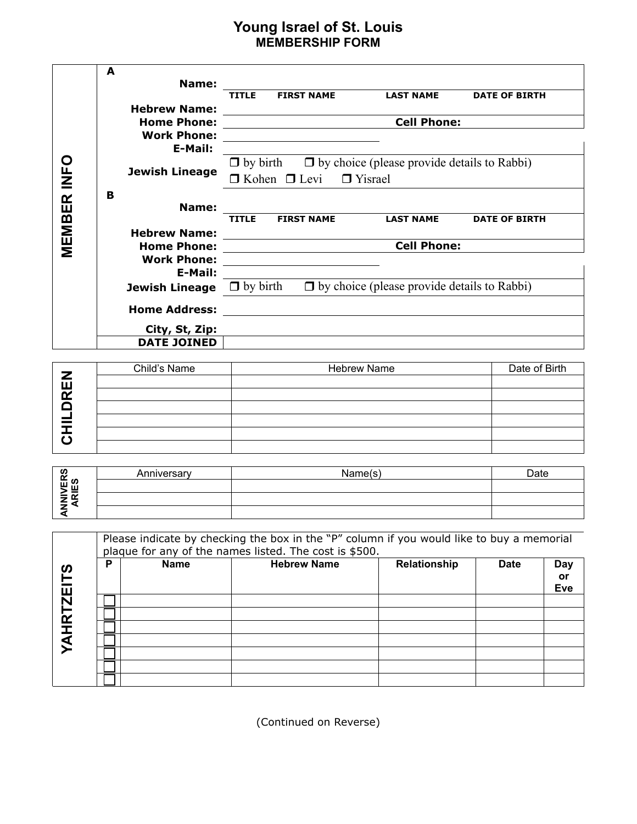## **Young Israel of St. Louis MEMBERSHIP FORM**

|                    |                       | <b>Young Israel of St. Louis</b>                                                                                     |                                                    |                      |  |  |
|--------------------|-----------------------|----------------------------------------------------------------------------------------------------------------------|----------------------------------------------------|----------------------|--|--|
|                    |                       | <b>MEMBERSHIP FORM</b>                                                                                               |                                                    |                      |  |  |
|                    | $\mathbf{A}$          |                                                                                                                      |                                                    |                      |  |  |
|                    | Name:                 |                                                                                                                      |                                                    |                      |  |  |
|                    |                       | <b>FIRST NAME</b><br><b>TITLE</b>                                                                                    | <b>LAST NAME</b>                                   | <b>DATE OF BIRTH</b> |  |  |
|                    | <b>Hebrew Name:</b>   |                                                                                                                      |                                                    |                      |  |  |
|                    | <b>Home Phone:</b>    |                                                                                                                      | <b>Cell Phone:</b>                                 |                      |  |  |
|                    | <b>Work Phone:</b>    | <u> 1989 - Johann Stein, mars and de Brandenburg and de Brandenburg and de Brandenburg and de Brandenburg and de</u> |                                                    |                      |  |  |
|                    | E-Mail:               |                                                                                                                      |                                                    |                      |  |  |
|                    | <b>Jewish Lineage</b> | $\Box$ by birth $\Box$ by choice (please provide details to Rabbi)                                                   |                                                    |                      |  |  |
| <b>MEMBER INFO</b> |                       | $\Box$ Kohen $\Box$ Levi $\Box$ Yisrael                                                                              |                                                    |                      |  |  |
|                    | B                     |                                                                                                                      |                                                    |                      |  |  |
|                    | Name:                 |                                                                                                                      |                                                    |                      |  |  |
|                    |                       | <b>FIRST NAME</b><br><b>TITLE</b>                                                                                    | <b>LAST NAME</b>                                   | <b>DATE OF BIRTH</b> |  |  |
|                    | <b>Hebrew Name:</b>   | <u> 1980 - Andrea Station Barbara, amerikan personal (h. 1980).</u>                                                  |                                                    |                      |  |  |
|                    | <b>Home Phone:</b>    | <b>Cell Phone:</b>                                                                                                   |                                                    |                      |  |  |
|                    | <b>Work Phone:</b>    |                                                                                                                      |                                                    |                      |  |  |
|                    | E-Mail:               |                                                                                                                      |                                                    |                      |  |  |
|                    | <b>Jewish Lineage</b> | $\Box$ by birth                                                                                                      | $\Box$ by choice (please provide details to Rabbi) |                      |  |  |
|                    | <b>Home Address:</b>  |                                                                                                                      |                                                    |                      |  |  |
|                    | City, St, Zip:        |                                                                                                                      |                                                    |                      |  |  |
|                    | <b>DATE JOINED</b>    |                                                                                                                      |                                                    |                      |  |  |

|        | Child's Name | <b>Hebrew Name</b> | Date of Birth |
|--------|--------------|--------------------|---------------|
| Z<br>ш |              |                    |               |
| œ      |              |                    |               |
|        |              |                    |               |
|        |              |                    |               |
|        |              |                    |               |
|        |              |                    |               |

| ഗ              | Anniverson | √ame(s | Date |
|----------------|------------|--------|------|
| <u>ម</u> ្រី ន |            |        |      |
| ∠≂             |            |        |      |
|                |            |        |      |

| CHILDI            |   |             |                                                                                                                                                     |              |             |                                       |
|-------------------|---|-------------|-----------------------------------------------------------------------------------------------------------------------------------------------------|--------------|-------------|---------------------------------------|
| ANNIVERS<br>ARIES |   | Anniversary | Name(s)                                                                                                                                             |              | Date        |                                       |
|                   |   |             | Please indicate by checking the box in the "P" column if you would like to buy a memorial<br>plaque for any of the names listed. The cost is \$500. |              |             |                                       |
|                   | P | <b>Name</b> | <b>Hebrew Name</b>                                                                                                                                  | Relationship | <b>Date</b> | <b>Day</b><br><b>or</b><br><b>Eve</b> |
| <b>YAHRTZEITS</b> |   |             |                                                                                                                                                     |              |             |                                       |

(Continued on Reverse)